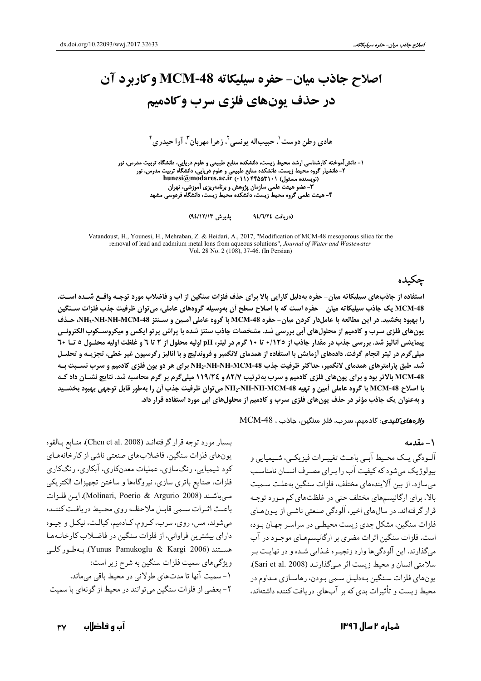# اصلاح جاذب ميان- حفره سيليكاته MCM-48 وكاربرد آن در حذف یونهای فلزی سرب وکادمیم

هادي وطن دوست'، حبيباله پونسي'، زهرا مهربان"، آوا حيدري "

۱- دانشآموخته کارشناسی ارشد محیط زیست، دانشکده منابع طبیعی و علوم دریایی، دانشگاه تربیت مدرس، نور ۔<br>۳- عضو هیئت علمی سازمان پژوهش و برنامەریزی آموزشی، تهران<br>۴- هیئت علمی گروه محیط زیست، دانشکده محیط زیست، دانشگاه فردوسی مشهد

> پذیرش ۹٤/۱۲/۱۳) (دريافت ٧٢٤/٧٢٤

Vatandoust, H., Younesi, H., Mehraban, Z. & Heidari, A., 2017, "Modification of MCM-48 mesoporous silica for the removal of lead and cadmium metal Ions from aqueous solutions", Journal of Water and Wastewater Vol. 28 No. 2 (108), 37-46. (In Persian)

# جكىدە

استفاده از جاذبهای سیلیکاته میان- حفره بهدلیل کارایی بالا برای حذف فلزات سنگین از آب و فاضلاب مورد توجـه واقــع شــده اسـت. MCM-48 یک جاذب سیلیکاته میان - حفره است که با اصلاح سطح اَن بهوسیله گروههای عاملی، می توان ظرفیت جذب فلزات سـنگین را بهبود بخشید. در این مطالعه با عاملدار کردن میان- حفره MCM-48 با گروه عاملی آمـین و سـنتز NH2-NH-NH-MCM-48، حـذف یونهای فلزی سرب و کادمیم از محلولهای اَبی بررسی شد. مشخصات جاذب سنتز شده با پراش پرتو ایکس و میکروسـکوپ الکترونـی پیمایشی آنالیز شد. بررسی جذب در مقدار جاذب از ۱۲٥/۰ تا ۱۰ گرم در لیتر، pH اولیه محلول از ۲ تا ٦ و غلظت اولیه محلـول ٥ تــا ٦٠ میلیگرم در لیتر انجام گرفت. دادههای ازمایش با استفاده از همدمای لانگمیر و فروندلیچ و با اَنالیز رگرسیون غیر خطی، تجزیــه و تحلیـل شد. طبق پارامترهای همدمای لانگمیر، حداکثر ظرفیت جذب NH2-NH-MCM-48 برای هر دو یون فلزی کادمیم و سرب نسـبت بـه 28-MCM بالاتر بود و برای یون های فلزی کادمیم و سرب به ترتیب ۸۲/۷ و ۱۱۹/۲۶ میلی گرم بر گرم محاسبه شد. نتایج نشـان داد کـه با اصلاح MCM-48 با گروه عاملي أمين و تهيه NH2-NH-MCM-48 مي توان ظرفيت جذب أن را بهطور قابل توجهي بهبود بخشـيد و بهعنوان یک جاذب مؤثر در حذف یونهای فلزی سرب و کادمیم از محلولهای آبی مورد استفاده قرار داد.

و*الأهفاى كليدى*: كادميم، سرب، فلز سنگين، جاذب ، MCM-48

#### ١ - مقدمه

آلـودگي يــک محــيط آبــي باعـث تغييــرات فيزيکــي، شــيميايي و بیولوژیک می شود که کیفیت آب را بـرای مصـرف انســان نامناسـب می سازد. از بین آلایندههای مختلف، فلزات سنگین بهعلـت سـمیت بالا، برای ارگانیسمهای مختلف حتی در غلظتهای کم مورد توجه قرار گرفتهاند. در سال های اخیر، آلودگی صنعتی ناشبی از پون های فلزات سنگین، مشکل جدی زیست محیطی در سراسر جهان بوده است. فلزات سنگین اثرات مضری بر ارگانیسمهـای موجـود در آب میگذارند. این آلودگی ها وارد زنجیـره غـذایی شـده و در نهایـت بـر سلامتی انسان و محیط زیست اثر مے گذارنید (Sari et al. 2008). يونهاي فلزات سنگين بـهدليـل سـمي بـودن، رهاسـازي مـداوم در محیط زیست و تأثیرات بدی که بر آبهای دریافت کننده داشتهاند.

بسيار مورد توجه قرار گرفتهانـد (Chen et al. 2008). منـابع بـالقوه یونهای فلزات سنگین، فاضلابهای صنعتی ناشی از کارخانههای کود شیمیایي، رنگسازي، عملیات معدنکاري، آبکاري، رنگکاري فلزات، صنايع باتري سازي، نيروگاهها و ساختن تجهيزات الكتريكي مبي باشند (Molinari, Poerio & Argurio 2008). اين فلزات باعث اثرات سمى قابل ملاحظه روى محيط دريافت كننمده میشوند. مس، روی، سرب، کروم، کادمیم، کبالت، نیکل و جیـوه دارای بیشترین فراوانی، از فلزات سنگین در فاضلاب کارخانـههـا هستند (Yunus Pamukoglu & Kargi 2006). بـهطـور كلـي ویژگیهای سمیت فلزات سنگین به شرح زیر است: ١- سميت آنها تا مدتهاي طولاني در محيط باقي ميماند. ۲- بعضی از فلزات سنگین می توانند در محیط از گونهای با سمیت

#### شمارہ ۲ سال ۱۳۹۶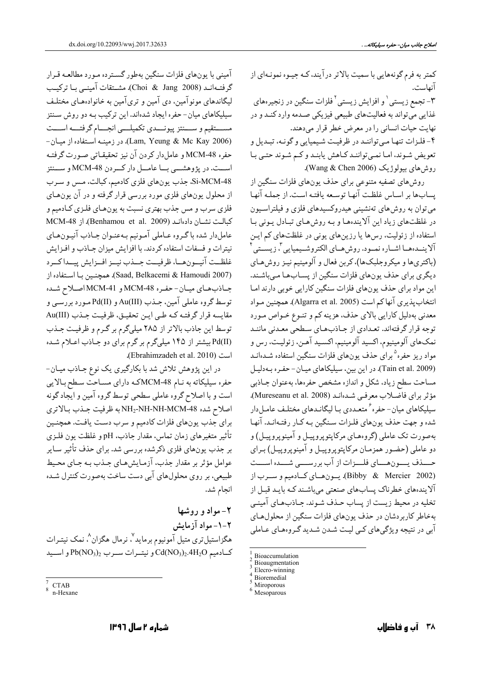کمتر به فرم گونههایی با سمیت بالاتر درآیند، کـه جیـوه نمونـهای از آنهاست. ۳– تجمع زیستی<sup>۱</sup> و افزایش زیستی<sup>۲</sup> فلزات سنگین در زنجیر،های غذايي مي تواند به فعاليتهاي طبيعي فيزيكي صـدمه وارد كنـد و در نهایت حیات انسانی را در معرض خطر قرار میدهند. ۴- فلزات تنها مي تواننـد در ظرفيـت شـيميايي و گونـه، تبـديل و تعویض شوند، اما نمیتوانند کاهش یابند و کم شوند حتبی با روش های بیولوژیک (Wang & Chen 2006).

روشهای تصفیه متنوعی برای حذف یونهای فلزات سنگین از پسابها بر اساس غلظت آنها توسعه يافتـه است. از جملـه آنهـا می توان به روش های تهنشینی هیدروکسیدهای فلزی و فیلتراسیون در غلظتهای زیاد این آلایندهها و بـه روش هـای تبـادل بـونی بـا استفاده از زئولیت، رس ها یا رزین های یونی در غلظتهای کم ایـن آلاينــدههــا اشــاره نمــود. روش،هــاي الكتروشــيميايي "، زيســتي ْ (باکتریها و میکروجلبکها)، کربن فعال و آلومینیم نیـز روشهای دیگری برای حذف یونهای فلزات سنگین از پسـابهـا مـیباشـند. این مواد برای حذف یونهای فلزات سنگین کارایی خوبی دارند امـا انتخاب پذيري آنها كم است (Algarra et al. 2005). همچنين مـواد معدني بهدليل كارايي بالاي حذف، هزينه كم و تنـوع خـواص مـورد توجه قرار گرفتهاند. تعدادي از جـاذبهـاي سـطحي معـدني ماننـد نمکهای آلومینیوم، اکسید آلومینیم، اکسید آهـن، زئولیـت، رس و مواد ریز حفره<sup>۵</sup>برای حذف یونهای فلزات سنگین استفاده شـدهانـد (Tain et al. 2009). در این بین، سیلیکاهای میان- حفره به دلیل مساحت سطح زياد، شكل و اندازه مشخص حفرهها، بهعنوان جـاذبي مؤثر براى فاضلاب معرفىي شدهاند (Mureseanu et al. 2008). سیلیکاهای میان- حفره ٔ متعـددی بـا لیگانـدهای مختلـف عامـلدار شده و جهت حذف یونهای فلـزات سـنگین بـه کـار رفتـهانـد. آنهـا بهصورت تک عاملي (گروههـاي مرکاپتوپروپيـل و آمينوپروپيـل) و دو عاملي (حضـور همزمـان مركاپتوپروپيـل و آمينوپروپيـل) بـراي حسـذف يــــونهــــاي فلــــزات از آب بررســــي شــــده اســــت (Bibby & Mercier 2002). يون هاي كادميم و سرب از آلایندههای خطرناک پسابهای صنعتی میباشند کـه بایـد قبـل از تخلیه در محیط زیست از پساب حذف شـوند. جـاذبهـای آمینـی بهخاطر كاربردشان در حذف يونهاي فلزات سنگين از محلول هاي آبي در نتيجه ويژگيهاي كـي ليـت شـدن شـديد گـروههـاي عـاملي

آمینی با پونهای فلزات سنگین بهطور گسترده مـورد مطالعـه قـرار گرفتـهانـد (Choi & Jang 2008). مشـتقات آمينـي بـا تركيـب لیگاندهای مونوآمین، دی آمین و تریآمین به خانوادههای مختلف سیلیکاهای میان-حفره ایجاد شدهاند. این ترکیب بـه دو روش سـنتز مستقيم و ســـنتز پيونـــدي تكميلـــي انجـــام گرفتـــه اســـت - Lam, Yeung & Mc Kay 2006). در زمینـه استفاده از میـان حفره MCM-48 و عاملدار كردن آن نيز تحقيقـاتي صـورت گرفتـه اســت. در پژوهشـــي بــا عامـــل دار كـــردن MCM-48 و ســـنتز Si-MCM-48. جذب یونهای فلزی کادمیم، کبالت، مسر و سرب از محلول یونهای فلزی مورد بررسی قرار گرفته و در آن یونهـای فلزي سرب و مس جذب بهتري نسبت به يونهـاي فلـزي كـادميم و MCM-48 ). از Benhamou et al. 2009). از MCM-48 عاملدار شده باگروه عـاملي آمـونيم بـهعنـوان جـاذب آنيـونهـاي نیترات و فسفات استفاده کردند. با افزایش میزان جـاذب و افـزایش غلظت آنيون هسا، ظرفيت جسذب نيسز افسزايش ييسدا كسرد (Saad, Belkacemi & Hamoudi 2007). همچنين بـا استفاده از جباذب هباي ميسان- حفيره MCM-48 و MCM-41 اصلاح شيده توسط گروه عاملی آمین، جــذب (Au(III) و Pd(II) مـورد بررســی و مقايسه قرار گرفتـه كـه طـى ايـن تحقيـق، ظرفيـت جـذب (III)Au توسط این جاذب بالاتر از ۲۸۵ میلیگرم بر گرم و ظرفیت جـذب Pd(II) بیشتر از ۱۴۵ میلیگرم بر گرم برای دو جاذب اعلام شده (Ebrahimzadeh et al. 2010).

در این پژوهش تلاش شد با بکارگیری یک نوع جـاذب میـان-حفره سیلیکاته به نـام MCM-48کـه دارای مسـاحت سـطح بـالايي است و با اصلاح گروه عاملی سطحی توسط گروه آمین و ایجاد گونه اصلاح شده NH2-NH-NH-MCM-48به ظرفيت جـذب بـالاترى براي جذب يونهاي فلزات كادميم و سرب دست يافت. همچنـين تأثير متغيرهاي زمان تماس، مقدار جاذب. pH و غلظت يون فلـزى بر جذب یونهای فلزی ذکرشده بررسی شد. برای حذف تأثیر سـایر عوامل مؤثر بر مقدار جذب، آزمـايش هـاي جـذب بـه جـاي محـيط طبیعی، بر روی محلولهای آبی دست ساخت بهصورت کنترل شـده انجام شد.

۲- مواد و روشها ۲-۱- مواد آزمایش هگزاستیلتری متیل آمونیوم برماید<sup>۷</sup>. نرمال هگزان^، نمک نیتـرات  $Pb(NO_3)_2$  كـادميم Cd(NO<sub>3</sub>)2.4H<sub>2</sub>O و نيتـرات سـرب Pb(NO<sub>3</sub>)2

Bioaccumulation

Bioaugmentation

Elecro-winning Bioremedial

Miroporous

Mesoparous

**CTAB** 

n-Hexane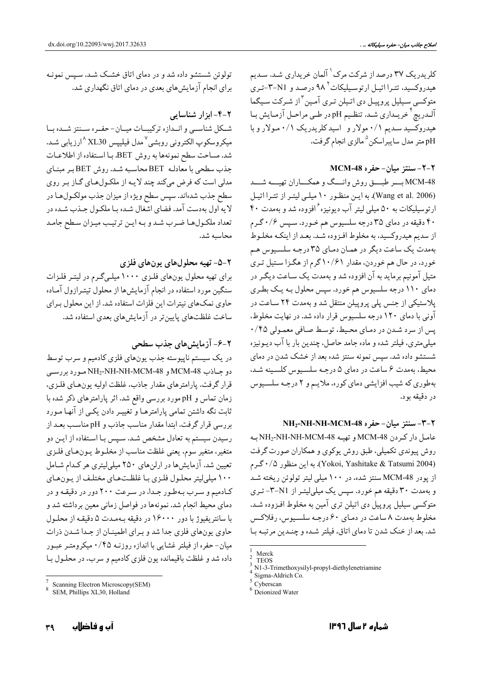کلریدریک ۳۷ درصد از شرکت مرک <sup>۱</sup> آلمان خریداری شـد. سـدیم هیدروکسید، تتـرا اتیـل ارتوسـیلیکات ۹۸ درصـد و ۳-۳-تـری متوکسي سـيليل پروپيـل دي اتـيلن تـري آمـين <sup>۳</sup>از شـرکت سـيگما آلـدريچ ٔ خريـداري شـد. تنظـيم pHودر طـي مراحـل آزمـايش بـا هیدروکسید سـدیم ۰/۱ مولار و اسیدکلریدریک ۰/۱ مـولار و با pH متر مدل سايبراسكن <sup>۵</sup> مالزي انجام گرفت.

### ۲-۲- سنتز میان- حفره MCM-48

MCM-48 بسر طبسق روش وانسگ و همکساران تهیسه شسد (Wang et al. 2006). به این منظور ١٠ میلی لیتر از تترا اتیل ارتوسیلیکات به ۵۰ میلی لیتر آب دیونیزه ٔافزوده شد و بهمدت ۴۰ ۴۰ دقیقه در دمای ۳۵ درجه سلسیوس هم خـورد. سـپس ۰/۶ گـرم از سدیم هیدروکسید، به مخلوط افـزوده شـد. بعـد از اینکـه مخلـوط بهمدت یک ساعت دیگر در همان دمای ۳۵ درجه سلسیوس هم خورد، در حال هم خوردن، مقدار ۱۰/۶۱ گرم از هگـزا سـتيل تـري متیل آمونیم برماید به آن افزوده شد و بهمدت یک سـاعت دیگـر در دمای ۱۱۰ درجه سلسیوس هم خورد. سپس محلول بـه یـک بطـری پلاستیکی از جنس پلی پروپیلن منتقل شد و بهمدت ۲۴ سـاعت در آونی با دمای ۱۲۰ درجه سلسیوس قرار داده شد. در نهایت مخلوط، پس از سرد شدن در دمای محیط، توسط صافی معمولی ۰/۴۵ میلی متری، فیلتر شده و ماده جامد حاصل، چندین بار با آب دیونیزه شستشو داده شد. سپس نمونه سنتز شده بعد از خشک شدن در دمای محیط، بهمدت ۶ ساعت در دمای ۵ درجـه سلسـیوس کلسـینه شـد، بهطوري كه شيب افزايشي دماي كوره، ملايم و ٢ درجه سلسيوس در دقیقه بود.

#### ۲-۳- سنتز میان- حفره NH2-NH-MCM-48

عامل دار كردن MCM-48 وتهيه NH2-NH-NH-MCM-48 بـه روش پیوندی تکمیلی، طبق روش پوکوی و همکاران صورت گرفت (Yokoi, Yashitake & Tatsumi 2004). به این منظور ۰/۵ گرم از پودر MCM-48 سنتز شده، در ۱۰۰ میلی لیتر تولوئن ریخته شـد و بهمدت ۳۰ دقیقه هم خورد. سیس یک میلم لیتـر از N1-۳- تـری متوکسي سيليل پروپيل دي اتيلن ترې آمين به مخلوط افـزوده شـد. مخلوط بهمدت ٨ ساعت در دمـاي ۶۰ درجـه سلسـيوس، رفلاكـس شد. بعد از خنک شدن تا دمای اتاق، فیلتر شده و چنـدین مرتبـه بـا

تولوئن شستشو داده شد و در دمای اتاق خشک شـد. سـپس نمونـه برای انجام آزمایش های بعدی در دمای اتاق نگهداری شد.

#### ۲-۴- ابزار شناسایی

شكل شناسبي و انـدازه تركيبــات ميــان- حفـره ســنتز شــده بــا میکروسکوپ الکترونی روبشی<sup>۷</sup>مدل فیلیپس XL30 <sup>۸ ا</sup>ارزیابی شـد. شد. مساحت سطح نمونهها به روش BET. بـا استفاده از اطلاعـات جذب سطحی با معادلـه BET محاسبه شـد. روش BET بـر مبنـاي مدلي است كه فرض ميكند چند لايـه از ملكـولهـاي گـاز بـر روي سطح جذب شدهاند. سپس سطح ویژه از میزان جذب مولکول ها در لايه اول بهدست آمد. فضاي اشغال شـده بـا ملكـول جـذب شـده در تعداد ملکولها ضرب شد و بـه ايـن ترتيـب ميـزان سـطح جامـد محاسىه شد.

## ٢-٥- تهيه محلولهاي يونهاي فلزي

برای تهیه محلول یونهای فلزی ۱۰۰۰ میلیگرم در لیتر فلزات سنگین مورد استفاده در انجام آزمایش ها از محلول تیتـرازول آمـاده حاوی نمکهای نیترات این فلزات استفاده شد. از این محلول برای ساخت غلظتهای پایینتر در آزمایشهای بعدی استفاده شد.

# ۲-۶- آزمایش های جذب سطحی

در یک سیستم ناپیوسته جذب یونهای فلزی کادمیم و سرب توسط دو جاذب MCM-48 و NH2-NH-NH-MCM-48 مورد بررسي قرار گرفت. پارامترهای مقدار جاذب، غلظت اولیه پونهای فلـزی، زمان تماس و pH مورد بررسی واقع شد. اثر پارامترهای ذکر شده با ثابت نگه داشتن تمامی پارامترهـا و تغییـر دادن یکـی از آنهـا مـورد بررسی قرار گرفت. ابتدا مقدار مناسب جاذب و pH مناسب بعـد از رسیدن سیستم به تعادل مشخص شـد. سـپس بـا اسـتفاده از ایـن دو متغیر، متغیر سوم، یعنی غلظت مناسب از مخلـوط پـونهـای فلـزی تعیین شد. آزمایشها در ارلنهای ۲۵۰ میلیلیتری هر کدام شامل ۱۰۰ میلی لیتر محلـول فلـزی بـا غلظـتهـای مختلـف از پـونهـای کادمیم و سـرب بـهطـور جـدا، در سـرعت ۲۰۰ دور در دقیقـه و در دمای محیط انجام شد. نمونهها در فواصل زمانی معین برداشته شد و با سانتریفیوژ با دور ۱۶۰۰۰ در دقیقه بهمدت ۵ دقیقه از محلول حاوي يونهاي فلزي جدا شد و براي اطمينان از جـدا شـدن ذرات میان-حفره از فیلتر غشایی با اندازه روزنـه ۰/۴۵ میکرومتـر عبـور داده شد و غلظت باقیمانده یون فلزی کادمیم و سرب، در محلـول بـا

Merck **TEOS** 

N1-3-Trimethoxysilyl-propyl-diethylenetriamine

Sigma-Aldrich Co.

Cyberscan

<sup>&</sup>lt;sup>5</sup> Deionized Water

Scanning Electron Microscopy(SEM)

SEM, Phillips XL30, Holland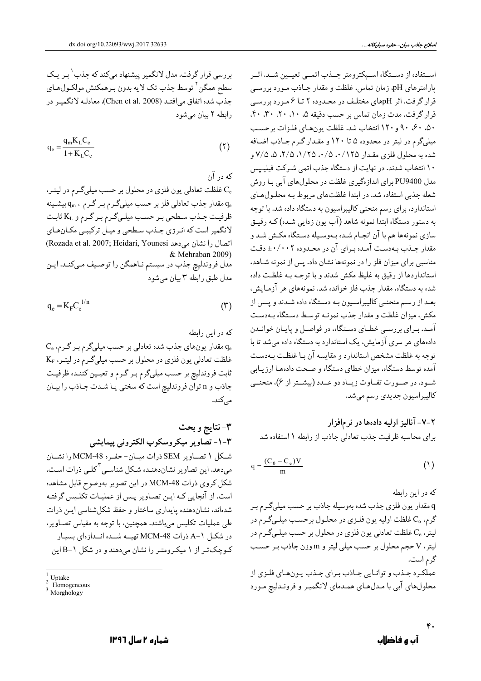بررسی قرار گرفت. مدل لانگمیر پیشنهاد میکند که جذب ٰ بـر یـک سطح همگن<sup>۲</sup> توسط جذب تک لایه بدون بـرهمکنش مولکـولهـاي جذب شده اتفاق میافتـد (Chen et al. 2008). معادلـه لانگميـر در رابطه ٢ بيان مي شود

$$
q_e = \frac{q_m K_L C_e}{1 + K_L C_e} \tag{1}
$$

که در آن

نافظت تعادلي يون فلزي در محلول بر حسب ميليگرم در ليتـر. G مقدار جذب تعادلی فلز بر حسب میلیگـرم بـر گـرم ،  $\rm q_{m}$  بیشـینه  $\rm q_{e}$ ظرفیت جـذب سـطحی بـر حسـب میلـیگـرم بـر گـرم و KL ثابت لانگمیر است که انـرژي جـذب سـطحي و ميـل ترکيبـي مکـانهـاي (Rozada et al. 2007; Heidari, Younesi اتصال را نشان می دهد & Mehraban 2009) مدل فروندليچ جذب در سيستم نـاهمگن را توصـيف مـىكنـد. ايـن مدل طبق رابطه ٣ بيان مي شود

$$
q_e = K_F C_e^{1/n}
$$
 (7)

که در این رابطه  $\rm C_e$  مقدار یونهای جذب شده تعادلی بر حسب میلیگرم بر گرم،  $\rm q_e$ غلظت تعادلی یون فلزی در محلول بر حسب میلیگرم در لیتـر، KF ثابت فروندلیچ بر حسب میلیگرم بـر گـرم و تعیـین کننـده ظرفیـت جاذب و n تواّن فروندليچ است كه سختى يـا شـدت جـاذب را بيـان مے کند.

۳-نتايج و بحث ٣-١- تصاوير ميكروسكوپ الكتروني پيمايشي شكل ١ تصـاوير SEM ذرات ميــان- حفـره MCM-48 را نشــان میدهد. این تصاویر نشاندهنده شکل شناسـی<sup>۳</sup>کلـی ذرات اسـت. شکل کروی ذرات MCM-48 در این تصویر بهوضوح قابل مشاهده است. از آنجایی کـه ایـن تصـاویر پـس از عملیـات تکلـیس گرفتـه شدهاند، نشاندهنده پایداری ساختار و حفظ شکلشناسی ایـن ذرات طي عمليات تکليس مي باشند. همچنين، با توجه به مقياس تصـاوير، در شکـل ۱-A ذرات MCM-48 تهیـــه شــده انــدازهای بسیـار کوچکتر از ۱ میکرومتر را نشان میدهند و در شکل ۱-B این اسـتفاده از دسـتگاه اسـپکترومتر جــذب اتمــي تعيــين شــد. اثــر پارامترهای pH، زمان تماس، غلظت و مقدار جـاذب مـورد بررسـي قرار گرفت. اثر pHهای مختلف در محـدوده ۲ تـا ۶ مـورد بررسـی قرار گرفت. مدت زمان تماس بر حسب دقیقه ۵، ۱۰، ۲۰، ۳۰، ۴۰، ۵۰٪ ۹۰٪ ۹۰ و ۱۲۰ انتخاب شد. غلظت یون های فلزات برحسب میلیگرم در لیتر در محدوده ۵ تا ۱۲۰ و مقـدار گـرم جـاذب اضـافه شده به محلول فلزي مقـدار ۰/۱۲۵ .۰/۵ .۰/۲۵ .۵ .۲/۵ .۵ . ۱۰ انتخاب شدند. در نهایت از دستگاه جذب اتمی شـرکت فیلیـپس مدل PU9400 برای اندازهگیری غلظت در محلولهای آبی بـا روش شعله جذبی استفاده شد. در ابتدا غلظتهای مربوط بـه محلـولهـای استاندارد، برای رسم منحنی کالیبراسیون به دستگاه داده شد. با توجه به دستور دستگاه ابتدا نمونه شاهد (آب یون زدایی شـده) کـه رقیـق سازي نمونهها هم با آن انجـام شـده بـهوسـيله دسـتگاه مكـش شـد و مقدار جـذب بـهدسـت آمـده بـراي آن در محـدوده ٠٠/٠٠٢± دقـت مناسبی برای میزان فلز را در نمونهها نشان داد. پس از نمونه شباهد، استانداردها از رقیق به غلیظ مکش شدند و با توجـه بـه غلظـت داده شده به دستگاه، مقدار جذب فلز خوانده شد. نمونههای هر آزمـایش، بعـد از رسـم منحنـي كاليبراسـيون بـه دسـتگاه داده شـدند و پـس از مکش، میزان غلظت و مقدار جذب نمونـه توسـط دسـتگاه بـهدسـت آمـد. بـراي بررسـي خطـاي دسـتگاه، در فواصـل و پايـان خوانـدن دادههای هر سری آزمایش، یک استاندارد به دستگاه داده میشد تا با توجه به غلظت مشخص استاندارد و مقايسه آن بـا غلظـت بـهدسـت آمده توسط دستگاه، میزان خطای دستگاه و صـحت دادههـا ارزیـابی شـود. در صـورت تفـاوت زيـاد دو عـدد (بيشـتر از ۶)، منحنــي كاليبراسيون جديدي رسم مىشد.

۲-۷- آنالیز اولیه دادهها در نرمافزار برای محاسبه ظرفیت جذب تعادلی جاذب از رابطه ١ استفاده شد

$$
q = \frac{(C_0 - C_e)V}{m}
$$
 (1)

که در این رابطه

q مقدار يون فلزي جذب شده بهوسيله جاذب بر حسب ميليگرم بـر گرم، ،C غلظت اولیه یون فلـزي در محلـول برحسـب میلـيگـرم در لیتر، یC غلظت تعادلی یون فلزی در محلول بر حسب میلـیگـرم در لیتر، V حجم محلول بر حسب میلی لیتر و m وزن جاذب بـر حسـب گرم است. عملکرد جـذب و توانـايي جـاذب بـراي جـذب يـونهـاي فلـزي از محلولهای آبی با مدلهای همدمای لانگمیـر و فرونـدليچ مـورد

**LIntake** 

Homogeneous

Morghology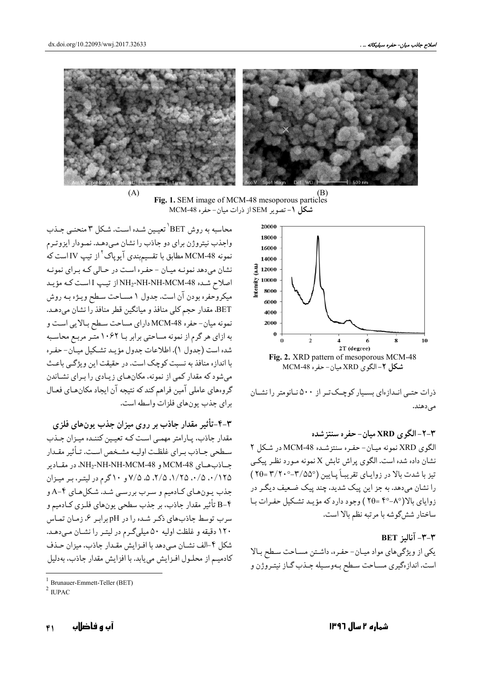

 $(B)$ Fig. 1. SEM image of MCM-48 mesoporous particles **شكل ١-** تصوير SEM از ذرات ميان-حفره MCM-48



ذرات حتبی انبداز مای بسیبار کوچیک تبر از ۵۰۰ نیانومتر را نشیان مى دهند.

۲-۲-الگوی XRD میان- حفره سنتز شده الگوی XRD نمونه میـان- حفـره سنتزشـده MCM-48 در شـكل ۲ نشان داده شده است. الگوی پراش تابش X نمونه مـورد نظـر پیکـی تيز با شدت بالا در زوايباي تقريبـاً پـايين (٣/٥٥٥-٣/٢٠٠-٣) را نشان می،دهد. به جز این پیک شدید، چند پیک ضـعیف دیگـر در زوایای بالا(۸°-۴۴ =۲0 ) وجود دارد که مؤیید تشکیل حفیرات بیا ساختار ششگوشه با مرتبه نظم بالا است.

 $BET$  آنالد  $-7 - 7$ 

یکی از ویژگیهای مواد میان-حفره، داشتن مساحت سطح بالا است. اندازهگیری مسـاحت سـطح بـهوسـیله جـذب گـاز نیتـروژن و

محاسبه به روش BET' تعیـین شـده اسـت. شـكل ۳ منحنـي جـذب واجذب نیتروژن برای دو جاذب را نشان مبیدهـد. نمـودار ایزوتـرم .<br>نمونه MCM-48 مطابق با تقسیمبندی آیوپاک<sup>۲</sup> از تیپ IV است که نشان می دهد نمونـه میـان - حفـره اسـت در حـالی کـه بـرای نمونـه اصلاح شده NH2-NH-NH-MCM-48 از تیپ I است که مؤید میکروحفره بودن آن است. جدول ۱ مسـاحت سـطح ویـژه بـه روش BET. مقدار حجم کلی منافذ و میانگین قطر منافذ را نشان میدهـد. نمونه میان-حفره MCM-48 دارای مساحت سطح بـالایی اسـت و به ازای هر گرم از نمونه مساحتی برابر بـا ۱۰۶۲ متّـر مربـع محاسـبه شده است (جدول ۱). اطلاعات جدول مؤيـد تشـكيل ميـان-حفـره با اندازه منافذ به نسبت کوچک است. در حقیقت این ویژگی باعث می شود که مقدار کمی از نمونه، مکان های زیادی را بـرای نشـاندن گروههای عاملی آمین فراهم کند که نتیجه آن ایجاد مکانهـای فعـال برای حذب بون های فلزات واسطه است.

۴-۳-تأثیر مقدار جاذب بر روی میزان جذب پونهای فلزی مقدار جاذب، پـارامتر مهمـي اسـت كـه تعيـين كننـده ميـزان جـذب سـطحي جــاذب بــراي غلظـت اوليــه مشــخص اسـت. تــأثير مقــدار جـاذبهـای MCM-48 و NH2-NH-NH-MCM-48، در مقـادیر ۰/۱۲۵ .۰/۵ .۱/۲۵ .۱/۲۵ .۵ .۷/۵ .۵ .۷/۷ و ۱۰ گرم در لیتر، بر میزان جذب پون های کیادمیم و سرب بررسی شد. شکل های ۴-A و ۴−B تأثير مقدار جاذب، بر جذب سطحي يونهاي فلـزي كـادميم و سرب توسط جاذبهای ذکر شده را در pH برابر ۶، زمان تماس ١٢٠ دقيقه و غلظت اوليه ٥٠ ميلي گرم در ليتر را نشان مي دهد. شکل ۴-الف نشــان مــی دهد با افــزایش مقــدار جاذب، میزان حــذف كادميـم از محلـول افـزايش مىيابد. با افزايش مقدار جاذب، بهدليل

<sup>&</sup>lt;sup>1</sup> Brunauer-Emmett-Teller (BET)

 $2 \text{ HIPAC}$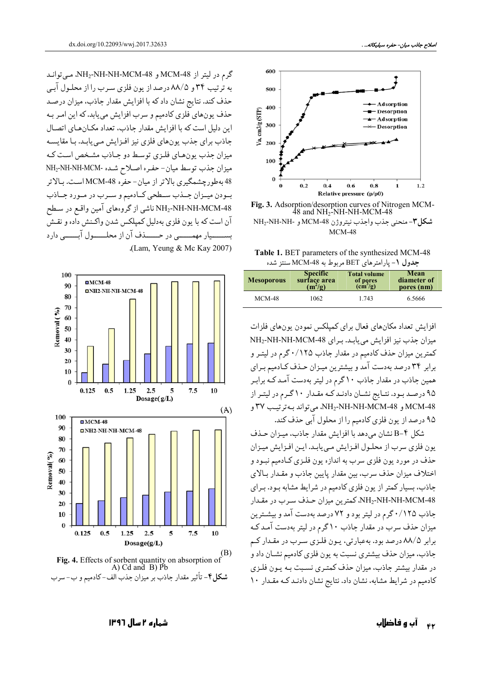

Fig. 3. Adsorption/desorption curves of Nitrogen MCM-<br>48 and NH<sub>2</sub>-NH-NH-MCM-48 شكل٣-منحنى جذب واجذب نيتروژن MCM-48 و -NH2-NH-NH  $MCM-48$ 

Table 1. BET parameters of the synthesized MCM-48 جدول ١- يارامتر هاي BET مربوط به MCM-48 سنتز شده

| <b>Mesoporous</b> | <b>Specific</b> | <b>Total volume</b>    | Mean        |  |
|-------------------|-----------------|------------------------|-------------|--|
|                   | surface area    | of pores               | diameter of |  |
|                   | $(m^{2}/g)$     | $\text{cm}^3/\text{g}$ | pores (nm)  |  |
| <b>MCM-48</b>     | 1062            | 1.743                  | 6.5666      |  |

افزایش تعداد مکانهای فعال برای کمپلکس نمودن یونهای فلزات میزان جذب نیز افزایش می یابد. برای NH2-NH-NH-MCM-48 کمترین میزان حذف کادمیم در مقدار جاذب ۱۲۵/۰گرم در لیتـر و برابر ۳۴ درصد بهدست آمد و بیشترین میـزان حـذف کـادمیم بـرای همین جاذب در مقدار جاذب ۱۰ گرم در لیتر بهدست آمـد کـه برابـر ۹۵ درصد بود. نتـايج نشـان دادنـد كـه مقـدار ۱۰ گـرم در ليتـر از MCM-48 و NH2-NH-NH-MCM-48، مي تواند بـه ترتيب ٣٧ و ۹۵ درصد از یون فلزی کادمیم را از محلول آبی حذف کند.

شكل ۴-B نشان مي دهد با افزايش مقدار جاذب، ميـزان حـذف یون فلزی سرب از محلـول افـزایش مـی یابـد. ایـن افـزایش میـزان حذف در مورد يون فلزي سرب به اندازه يون فلـزي كـادميم نبـود و اختلاف میزان حذف سرب، بین مقدار پایین جاذب و مقـدار بـالای جاذب، بسیار کمتر از یون فلزی کادمیم در شرایط مشابه بود. برای NH2-NH-NH-MCM-48، كمترين ميزان حـذف سـرب در مقـدار جاذب ۱۲۵/۰/۱ گرم در لیتر بود و ۷۲ درصد بهدست آمد و بیشترین میزان حذف سرب در مقدار جاذب ۱۰ گرم در لیتر بهدست آمـد کـه برابر ۸۸/۵ درصد بود. بهعبارتی، پـون فلـزي سـرب در مقـدار کـم جاذب، میزان حذف بیشتری نسبت به پون فلزی کادمیم نشـان داد و در مقدار بیشتر جاذب، میزان حذف کمتـری نسـبت بـه یـون فلـزی کادمیم در شرایط مشابه، نشان داد. نتایج نشان دادنـد کـه مقـدار ١٠

گرم در لیتر از MCM-48 و NH2-NH-NH-MCM-48، مــ, توانـد به ترتیب ۳۴ و ۸۸/۵ درصد از یون فلزی سـرب را از محلـول آبـی حذف کند. نتایج نشان داد که با افزایش مقدار جاذب، میزان درصد حذف يونهاي فلزي كادميم و سرب افزايش مي يابد. كه اين امـر بـه این دلیل است که با افزایش مقدار جاذب، تعداد مکـانهـای اتصـال جاذب براي جذب يونهاي فلزي نيز افـزايش مـي يابـد. بـا مقايسـه میزان جذب یونهای فلزی توسط دو جـاذب مشـخص اسـت کـه ميزان جذب توسط ميان- حفره اصلاح شده -NH2-NH-NH-MCM 48 بهطورچشمگیری بالاتر از میان-حفره MCM-48 است. بالاتر بودن ميوزان جلذب سلطحي كبادميم و سيرب در ميورد جناذب NH2-NH-NH-MCM-48 ناشی از گروههای آمین واقع در سطح آن است كه با يون فلزي بهدليل كمپلكس شدن واكـنش داده و نقـش سیار مهمسسی در حسسذف آن از محلسسول آبسسی دارد .(Lam, Yeung & Mc Kay 2007)





آب و فاضلاب  $\epsilon$ 

#### شماره ۲ سال ۱۳۹۶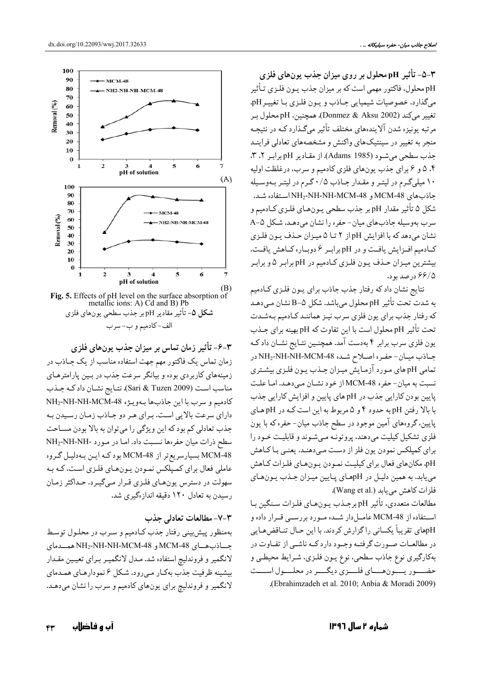۳-۵- تأثیر pH محلول بر روی میزان جذب پونهای فلزی pH محلول، فاکتور مهمی است که بر میزان جذب پـون فلـزي تـأثير مي گذارد. خصوصيات شيميايي جـاذب و يـون فلـزي بـا تغييـر pH، تغيير ميكند (Donmez & Aksu 2002). همچنين، pH محلول بـر مرتبه یونیزه شدن آلایندههای مختلف تأثیر میگذارد کـه در نتیجـه منجر به تغییر در سینتیکهای واکنش و مشخصههای تعادلی فراینـد جذب سطحی می شود (Adams 1985). از مقادیر pH برابر ۲، ۳، ۴. ۵ و ۶ برای جذب یونهای فلزی کادمیم و سرب، درغلظت اولیه ۱۰ میلی گرم در لیتر و مقدار جاذب ۰/۵ گرم در لیتر بهوسیله جاذبهاي MCM-48 و NH2-NH-NH-MCM-48 استفاده شد. شكل ۵ تأثير مقدار pH بر جذب سطحي يـونهـاي فلـزي كـادميم و سرب بهوسیله جاذبهای میان- حفره را نشان میدهد. شکل A-۵ نشان می دهد که با افزایش pH از ۲ تـا ۵ میـزان حـذف یـون فلـزی كادميم افزايش يافت و در pH برابر ۶ دوباره كاهش يافت. بیشترین میـزان حـذف یـون فلـزي كـادمیم در pH برابـر ۵ و برابـر ۶۶/۵ درصد بود.

نتايج نشان دادكه رفتار جذب جاذب براي يـون فلـزى كـادميم به شدت تحت تأثير pH محلول ميباشد. شكل ∆−B نشان مـيدهـد که رفتار جذب برای یون فلزی سرب نیـز هماننـد کـادمیم بـهشـدت تحت تأثير pH محلول است با اين تفاوت كه pH بهينه براي جـذب یون فلزی سرب برابر ۴ بهدست آمد. همچنـین نتـایج نشـان دادکـه جـاذب ميـان- حفـره اصـلاح شـده NH2-NH-MCM-48 در تمامی pH های مورد آزمایش میزان جـذب یـون فلـزي بیشـتري نسبت به میان-حفره MCM-48 از خود نشـان مـىدهـد. امـا علـت پایین بودن کارایی جذب در pH های پایین و افزایش کارایی جذب با بالا رفتن pH به حدود ۴ و ۵ مربوط به این است کـه در pH هـای پایین، گروههای آمین موجود در سطح جاذب میان- حفره که با یون فلزي تشكيل كيليت مى دهند، پروتونـه مـىشـوند و قابليـت خـود را برای کمپلکس نمودن یون فلز از دست مـیدهنـد. یعنـی بـاکـاهش pH، مکانهای فعال برای کیلیت نمودن پونهای فلزات کاهش مي يابد. به همين دليل در pHهاي پايين ميزان جـذب يـونهاي فلزات كاهش مى يابد (.Wang et al).

مطالعات متعددي، تأثير pH برجـذب يـونهـاي فلـزات سـنگين بـا استفاده از MCM-48 عامـلدار شـده مـورد بررسـي قـرار داده و pHهای تقریباً یکسانی را گزارش کردند. با این حـال تنـاقضهـایی در مطالعـات صـورت گرفتــه وجــود دارد كــه ناشــى از تفــاوت در بهکارگیری نوع جاذب سطحی، نوع بـون فلـزي، شـرايط محيطـي و حضـــور يـــونهـــاي فلـــزي ديگـــر در محلـــول اســـت .(Ebrahimzadeh et al. 2010; Anbia & Moradi 2009).



Fig. 5. Effects of pH level on the surface absorption of<br>metallic ions: A) Cd and B) Pb **شکل ۵**- تأثیر مقادیر pH بر جذب سطحی یونهای فلزی الف-كادميم وب-سرب

۴-۶- تأثیر زمان تماس بر میزان جذب یونهای فلزی زمان تماس یک فاکتور مهم جهت استفاده مناسب از یک جـاذب در زمینههای کاربردی بوده و بیانگر سرعت جذب در بـین پارامترهـای مناسب است (Sari & Tuzen 2009). نتـايج نشـان داد كـه جـذب كادميم وسرب با اين جاذبها بهويزه NH2-NH-NH-MCM-48 دارای سرعت بالایی است. بـرای هـر دو جـاذب زمـان رسـیدن بـه جذب تعادلي كم بود كه اين ويژگي را مي توان به بالا بودن مسـاحت سطح ذرات میان حفرهها نسبت داد. اما در مورد -NH2-NH-NH MCM-48 بسیارسریع تر از MCM-48 بود که ایـن بـهدلیـل گـروه عاملي فعال براي كميلكس نمـودن يـونهـاي فلـزي اسـت، كـه بـه سهولت در دسترس يون هاي فلـزي قـرار مـي گيـرد. حـداكثر زمـان رسیدن به تعادل ۱۲۰ دقیقه اندازهگیری شد.

#### ٣-٧- مطالعات تعادلى جذب

بهمنظور پیش بینی رفتار جذب کـادمیم و سـرب در محلـول توسـط جساذب هساي MCM-48 و NH2-NH-NH-MCM-48 همسدماي لانگمیر و فروندلیچ استفاده شد. مـدل لانگمیـر بـرای تعیـین مقـدار بیشینه ظرفیت جذب بهکـار مـی٫رود. شـکل ۶ نمودارهـای همـدمای لانگمیر و فروندلیچ برای یونهای کادمیم و سرب را نشان میدهـد.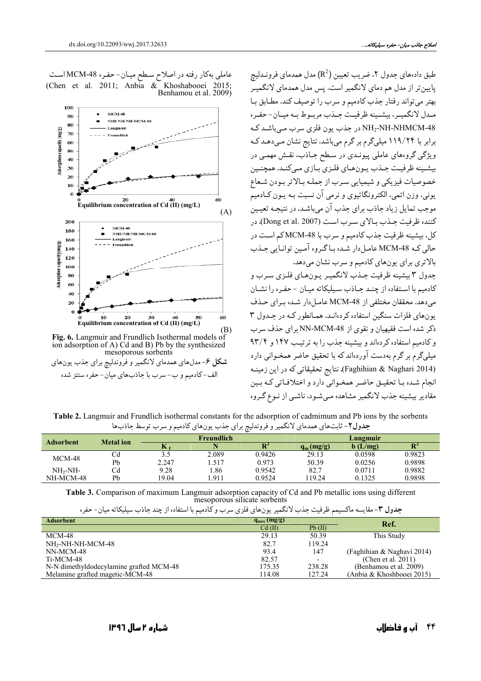طبق دادههای جدول ۲، ضریب تعیین (R<sup>2</sup>) مدل همدمای فرونـدلیچ پایین تر از مدل هم دمای لانگمیر است. پس مدل همدمای لانگمیـر بهتر مي تواند رفتار جذب كادميم و سرب را توصيف كند. مطـابق بـا مـدل لانگميـر، بيشـينه ظرفيـت جـذب مربـوط بـه ميـان-حفـره NH2-NH-NHMCM-48 در جذب یون فلزی سرب میباشد ک برابر با ۱۱۹/۲۴ میلیگرم بر گرم میباشد. نتایج نشان می دهـد کـه ویژگی گروههای عاملی پیونـدی در سـطح جـادب، نقـش مهمـی در بيشينه ظرفيت جـذب يـونهـاي فلـزي بـازي مـي كنـد. همچنـين خصوصيات فيزيكي و شيميايي سـرب از جملـه بـالاتر بـودن شـعاع يوني، وزن اتمي، الكترونگاتيوي و نرمي آن نسبت بـه يـون كـادميم موجب تمایل زیاد جاذب برای جذب آن می باشـد، در نتیجـه تعیـین كننده ظرفيت جـذب بـالاي سـرب اسـت (Dong et al. 2007). در كل، بيشينه ظرفيت جذب كادميم و سرب با MCM-48 كم است در حالي کـه MCM-48 عامـلدار شـده بـاگـروه آمـين توانـايي جـذب بالاتري براي يونهاي كادميم و سرب نشان مي دهد.

جدول ٣ بيشينه ظرفيت جـذب لانگميـر يـونهـاي فلـزي سـرب و كادميم با استفاده از چنـد جـاذب سـيليكاته ميـان -حفـره را نشـان می دهد. محققان مختلفی از MCM-48 عامل دار شده برای حـذف یونهای فلزات سنگین استفاده کردهانید. همیانطور کیه در جیدول ۳ ذکر شده است فقیهیان و نقوی از NN-MCM-48 برای حذف سرب و کادمیم استفاده کر دهاند و بیشینه جذب را به تر تیب ۱۴۷ و ۹۳/۴ میلیگرم بر گرم بهدست آوردهاند که با تحقیق حاضر همخـوانی دارد (Faghihian & Naghari 2014). نتايج تحقيقاتي كه در اين زمينـه انجام شده با تحقيـق حاضـر همخـواني دارد و اختلافـاتي كـه بـين مقادیر بیشینه جذب لانگمیر مشاهده میشود، ناشمی از نـوع گـروه

عاملی بهکار رفته در اصلاح سـطح میـان-حفـره MCM-48اسـت<br>(Chen et al. 2011; Anbia & Khoshabooei 2015) Benhamou et al. 2009)



Fig. 6. Langmuir and Frundlich Isothermal models of ion adsorption of A) Cd and B) Pb by the synthesized mesoporous sorbents شکل ۶- مدلهای همدمای لانگمیر و فروندلیچ برای جذب یونهای الف-كادميم و ب- سرب با جاذبهاي ميان- حفره سنتز شده

Table 2. Langmuir and Frundlich isothermal constants for the adsorption of cadmimum and Pb ions by the sorbents جدول٢- ثابتهاي همدماي لانگمير و فروندليچ براي جذب يونهاي كادميم و سرب توسط جاذبها

| <b>Adsorbent</b> | <b>Metal</b> ion | <b>Freundlich</b> |       |        | Lungmuir    |         |                |
|------------------|------------------|-------------------|-------|--------|-------------|---------|----------------|
|                  |                  | n.                |       |        | $q_m(mg/g)$ | b(L/mg) | $\mathbf{R}^2$ |
| $MCM-48$         | U₫               |                   | 2.089 | 0.9426 | 29.13       | 0.0598  | 0.9823         |
|                  | Pb               | 2.247             | 1.517 | 0.973  | 50.39       | 0.0256  | 0.9898         |
| $NH2-NH-$        | Сd               | 9.28              | .86   | 0.9542 | 82.7        | 0.0711  | 0.9882         |
| NH-MCM-48        | Pb               | 19.04             | .911  | 0.9524 | 19.24       | 0.1325  | 0.9898         |

Table 3. Comparison of maximum Langmuir adsorption capacity of Cd and Pb metallic ions using different mesoporous silicate sorbents

|  |  | <b>جدول ۳</b> - مقایسه ماکسیمم ظرفیت جذب لانگمیر یونهای فلزی سرب و کادمیم با استفاده از چند جاذب سیلیکاته میان- حف |
|--|--|--------------------------------------------------------------------------------------------------------------------|
|--|--|--------------------------------------------------------------------------------------------------------------------|

| <b>Adsorbent</b>                        | $q_{max}(mg/g)$ |        | Ref.                       |  |
|-----------------------------------------|-----------------|--------|----------------------------|--|
|                                         | $Cd$ (II)       | Pb(II) |                            |  |
| MCM-48                                  | 29.13           | 50.39  | This Study                 |  |
| NH <sub>2</sub> -NH-NH-MCM-48           | 82.7            | 119.24 |                            |  |
| NN-MCM-48                               | 93.4            | 147    | (Faghihian & Naghavi 2014) |  |
| Ti-MCM-48                               | 82.57           |        | (Chen et al. $2011$ )      |  |
| N-N dimethyldodecylamine grafted MCM-48 | 175.35          | 238.28 | (Benhamou et al. 2009)     |  |
| Melamine grafted magetic-MCM-48         | 114.08          | 127.24 | (Anbia & Khoshbooei 2015)  |  |

ره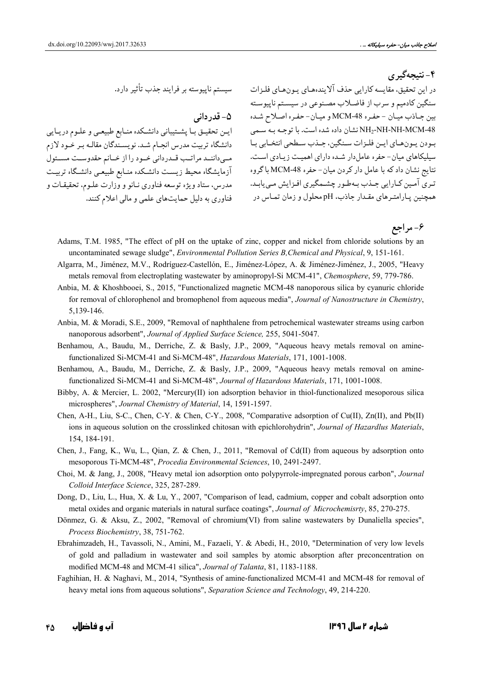۴- نتىجەگېرى

۵– قدر دانی

ایـن تحقیـق بـا پشـتیباني دانشـكده منـابع طبیعـي و علـوم دريـايي دانشگاه تربیت مدرس انجام شد. نویسـندگان مقالـه بـر خـود لازم مهى داننمد مراتب قمدرداني خمود را از خمانم حقدوست مسئول آزمايشگاه محيط زيست دانشكده منـابع طبيعـي دانشـگاه تربيـت مدرس، ستاد ویژه توسعه فناوری نـانو و وزارت علـوم، تحقیقـات و فناوري به دليل حمايتهاي علمي و مالي اعلام كنند.

در اين تحقيق، مقايسه كارايي حذف آلايندههاي يـونهـاي فلـزات مىسستم ناپيوسته بر فرايند جذب تأثير دارد. سنگین کادمیم و سرب از فاضلاب مصنوعی در سیستم ناپیوسته بين جـاذب ميـان - حفـره MCM-48 و ميـان- حفـره اصـلاح شـده NH2-NH-NH-MCM-48 نشان داده شده است. با توجـه بـه سـمي بودن بونهاي ايـن فلـزات سـنگين، جـذب سـطحي انتخـابي بـا سیلیکاهای میان- حفره عامل دار شـده دارای اهمیـت زیـادی اسـت. نتايج نشان داد كه با عامل دار كردن ميان- حفره MCM-48 باگروه ۔<br>تـري آمـين کـارايي جـذب بـهطـور چشـمگيري افـزايش مـي!بـد. همچنین پـارامتـرهای مقـدار جاذب، pH محلول و زمان تمـاس در

۶- مر اجع

- Adams, T.M. 1985, "The effect of pH on the uptake of zinc, copper and nickel from chloride solutions by an uncontaminated sewage sludge", *Environmental Pollution Series B, Chemical and Physical*, 9, 151-161.
- Algarra, M., Jiménez, M.V., Rodríguez-Castellón, E., Jiménez-López, A. & Jiménez-Jiménez, J., 2005, "Heavy metals removal from electroplating wastewater by aminopropyl-Si MCM-41", Chemosphere, 59, 779-786.
- Anbia, M. & Khoshbooei, S., 2015, "Functionalized magnetic MCM-48 nanoporous silica by cyanuric chloride for removal of chlorophenol and bromophenol from aqueous media", Journal of Nanostructure in Chemistry. 5,139-146.
- Anbia, M. & Moradi, S.E., 2009, "Removal of naphthalene from petrochemical wastewater streams using carbon nanoporous adsorbent", Journal of Applied Surface Science, 255, 5041-5047.
- Benhamou, A., Baudu, M., Derriche, Z. & Basly, J.P., 2009, "Aqueous heavy metals removal on aminefunctionalized Si-MCM-41 and Si-MCM-48", Hazardous Materials, 171, 1001-1008.
- Benhamou, A., Baudu, M., Derriche, Z. & Basly, J.P., 2009, "Aqueous heavy metals removal on aminefunctionalized Si-MCM-41 and Si-MCM-48", Journal of Hazardous Materials, 171, 1001-1008.
- Bibby, A. & Mercier, L. 2002, "Mercury(II) ion adsorption behavior in thiol-functionalized mesoporous silical microspheres", Journal Chemistry of Material, 14, 1591-1597.
- Chen, A-H., Liu, S-C., Chen, C-Y. & Chen, C-Y., 2008, "Comparative adsorption of Cu(II), Zn(II), and Pb(II) ions in aqueous solution on the crosslinked chitosan with epichlorohydrin", Journal of Hazardlus Materials, 154, 184-191.
- Chen, J., Fang, K., Wu, L., Qian, Z. & Chen, J., 2011, "Removal of Cd(II) from aqueous by adsorption onto mesoporous Ti-MCM-48", Procedia Environmental Sciences, 10, 2491-2497.
- Choi, M. & Jang, J., 2008, "Heavy metal ion adsorption onto polypyrrole-impregnated porous carbon", *Journal* Colloid Interface Science, 325, 287-289.
- Dong, D., Liu, L., Hua, X. & Lu, Y., 2007, "Comparison of lead, cadmium, copper and cobalt adsorption onto metal oxides and organic materials in natural surface coatings", Journal of Microchemisrty, 85, 270-275.
- Dönmez, G. & Aksu, Z., 2002, "Removal of chromium(VI) from saline wastewaters by Dunaliella species", Process Biochemistry, 38, 751-762.
- Ebrahimzadeh, H., Tavassoli, N., Amini, M., Fazaeli, Y. & Abedi, H., 2010, "Determination of very low levels of gold and palladium in wastewater and soil samples by atomic absorption after preconcentration on modified MCM-48 and MCM-41 silica", Journal of Talanta, 81, 1183-1188.
- Faghihian, H. & Naghavi, M., 2014, "Synthesis of amine-functionalized MCM-41 and MCM-48 for removal of heavy metal ions from aqueous solutions", Separation Science and Technology, 49, 214-220.

آب و فاضلاب ۴٥